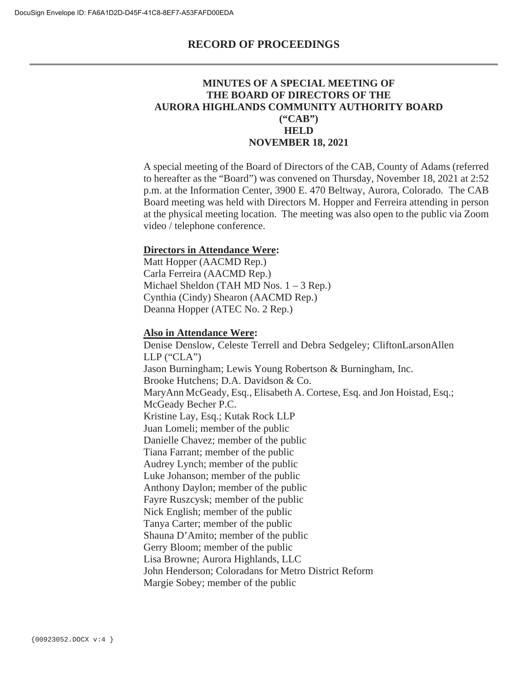## **MINUTES OF A SPECIAL MEETING OF THE BOARD OF DIRECTORS OF THE AURORA HIGHLANDS COMMUNITY AUTHORITY BOARD ("CAB") HELD NOVEMBER 18, 2021**

A special meeting of the Board of Directors of the CAB, County of Adams (referred to hereafter as the "Board") was convened on Thursday, November 18, 2021 at 2:52 p.m. at the Information Center, 3900 E. 470 Beltway, Aurora, Colorado. The CAB Board meeting was held with Directors M. Hopper and Ferreira attending in person at the physical meeting location. The meeting was also open to the public via Zoom video / telephone conference.

#### **Directors in Attendance Were:**

Matt Hopper (AACMD Rep.) Carla Ferreira (AACMD Rep.) Michael Sheldon (TAH MD Nos. 1 – 3 Rep.) Cynthia (Cindy) Shearon (AACMD Rep.) Deanna Hopper (ATEC No. 2 Rep.)

#### **Also in Attendance Were:**

Denise Denslow, Celeste Terrell and Debra Sedgeley; CliftonLarsonAllen  $LLP$  (" $CLA"$ ) Jason Burningham; Lewis Young Robertson & Burningham, Inc. Brooke Hutchens; D.A. Davidson & Co. MaryAnn McGeady, Esq., Elisabeth A. Cortese, Esq. and Jon Hoistad, Esq.; McGeady Becher P.C. Kristine Lay, Esq.; Kutak Rock LLP Juan Lomeli; member of the public Danielle Chavez; member of the public Tiana Farrant; member of the public Audrey Lynch; member of the public Luke Johanson; member of the public Anthony Daylon; member of the public Fayre Ruszcysk; member of the public Nick English; member of the public Tanya Carter; member of the public Shauna D'Amito; member of the public Gerry Bloom; member of the public Lisa Browne; Aurora Highlands, LLC John Henderson; Coloradans for Metro District Reform Margie Sobey; member of the public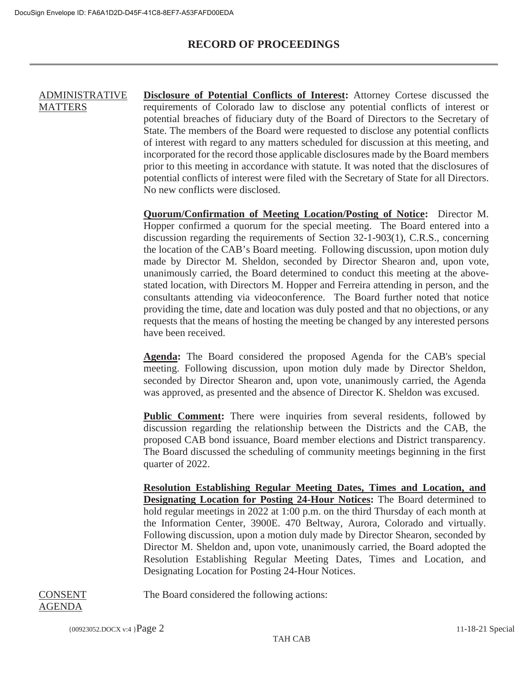#### ADMINISTRATIVE **MATTERS Disclosure of Potential Conflicts of Interest:** Attorney Cortese discussed the requirements of Colorado law to disclose any potential conflicts of interest or potential breaches of fiduciary duty of the Board of Directors to the Secretary of State. The members of the Board were requested to disclose any potential conflicts of interest with regard to any matters scheduled for discussion at this meeting, and incorporated for the record those applicable disclosures made by the Board members prior to this meeting in accordance with statute. It was noted that the disclosures of potential conflicts of interest were filed with the Secretary of State for all Directors. No new conflicts were disclosed.

**Quorum/Confirmation of Meeting Location/Posting of Notice:** Director M. Hopper confirmed a quorum for the special meeting. The Board entered into a discussion regarding the requirements of Section 32-1-903(1), C.R.S., concerning the location of the CAB's Board meeting. Following discussion, upon motion duly made by Director M. Sheldon, seconded by Director Shearon and, upon vote, unanimously carried, the Board determined to conduct this meeting at the abovestated location, with Directors M. Hopper and Ferreira attending in person, and the consultants attending via videoconference. The Board further noted that notice providing the time, date and location was duly posted and that no objections, or any requests that the means of hosting the meeting be changed by any interested persons have been received.

**Agenda:** The Board considered the proposed Agenda for the CAB's special meeting. Following discussion, upon motion duly made by Director Sheldon, seconded by Director Shearon and, upon vote, unanimously carried, the Agenda was approved, as presented and the absence of Director K. Sheldon was excused.

**Public Comment:** There were inquiries from several residents, followed by discussion regarding the relationship between the Districts and the CAB, the proposed CAB bond issuance, Board member elections and District transparency. The Board discussed the scheduling of community meetings beginning in the first quarter of 2022.

**Resolution Establishing Regular Meeting Dates, Times and Location, and Designating Location for Posting 24-Hour Notices:** The Board determined to hold regular meetings in 2022 at 1:00 p.m. on the third Thursday of each month at the Information Center, 3900E. 470 Beltway, Aurora, Colorado and virtually. Following discussion, upon a motion duly made by Director Shearon, seconded by Director M. Sheldon and, upon vote, unanimously carried, the Board adopted the Resolution Establishing Regular Meeting Dates, Times and Location, and Designating Location for Posting 24-Hour Notices.

The Board considered the following actions:

#### CONSENT AGENDA

{00923052.DOCX v:4 }Page 2 11-18-21 Special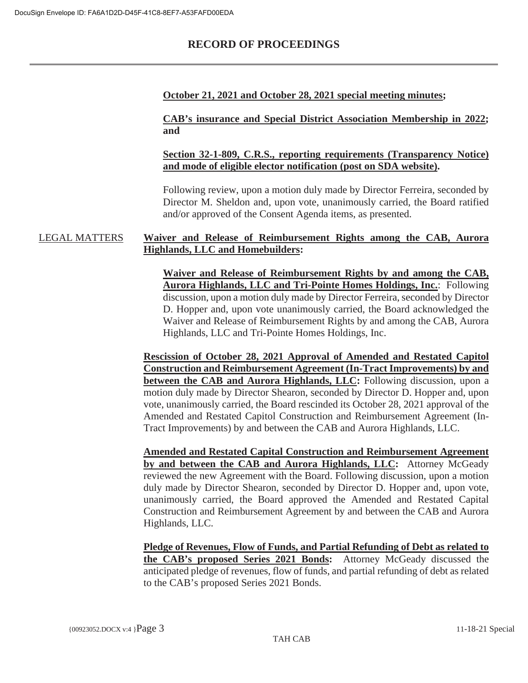## **October 21, 2021 and October 28, 2021 special meeting minutes;**

**CAB's insurance and Special District Association Membership in 2022; and**

**Section 32-1-809, C.R.S., reporting requirements (Transparency Notice) and mode of eligible elector notification (post on SDA website).**

Following review, upon a motion duly made by Director Ferreira, seconded by Director M. Sheldon and, upon vote, unanimously carried, the Board ratified and/or approved of the Consent Agenda items, as presented.

### LEGAL MATTERS **Waiver and Release of Reimbursement Rights among the CAB, Aurora Highlands, LLC and Homebuilders:**

**Waiver and Release of Reimbursement Rights by and among the CAB, Aurora Highlands, LLC and Tri-Pointe Homes Holdings, Inc.**: Following discussion, upon a motion duly made by Director Ferreira, seconded by Director D. Hopper and, upon vote unanimously carried, the Board acknowledged the Waiver and Release of Reimbursement Rights by and among the CAB, Aurora Highlands, LLC and Tri-Pointe Homes Holdings, Inc.

**Rescission of October 28, 2021 Approval of Amended and Restated Capitol Construction and Reimbursement Agreement (In-Tract Improvements) by and between the CAB and Aurora Highlands, LLC:** Following discussion, upon a motion duly made by Director Shearon, seconded by Director D. Hopper and, upon vote, unanimously carried, the Board rescinded its October 28, 2021 approval of the Amended and Restated Capitol Construction and Reimbursement Agreement (In-Tract Improvements) by and between the CAB and Aurora Highlands, LLC.

**Amended and Restated Capital Construction and Reimbursement Agreement by and between the CAB and Aurora Highlands, LLC:** Attorney McGeady reviewed the new Agreement with the Board. Following discussion, upon a motion duly made by Director Shearon, seconded by Director D. Hopper and, upon vote, unanimously carried, the Board approved the Amended and Restated Capital Construction and Reimbursement Agreement by and between the CAB and Aurora Highlands, LLC.

**Pledge of Revenues, Flow of Funds, and Partial Refunding of Debt as related to the CAB's proposed Series 2021 Bonds:** Attorney McGeady discussed the anticipated pledge of revenues, flow of funds, and partial refunding of debt as related to the CAB's proposed Series 2021 Bonds.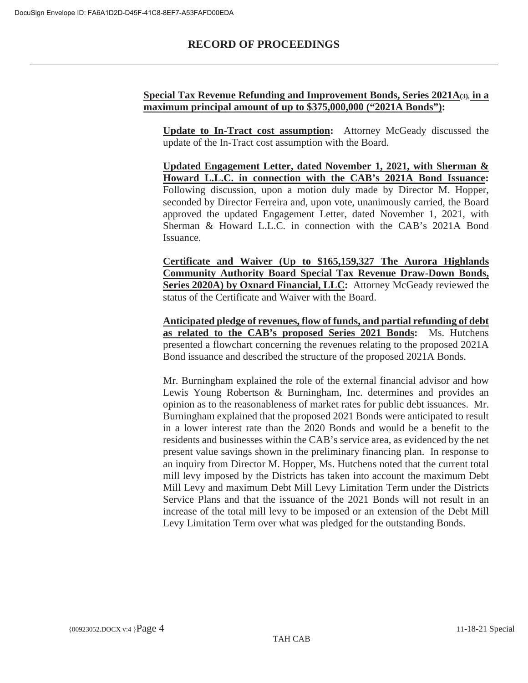## **Special Tax Revenue Refunding and Improvement Bonds, Series 2021A(3), in a maximum principal amount of up to \$375,000,000 ("2021A Bonds"):**

**Update to In-Tract cost assumption:** Attorney McGeady discussed the update of the In-Tract cost assumption with the Board.

**Updated Engagement Letter, dated November 1, 2021, with Sherman & Howard L.L.C. in connection with the CAB's 2021A Bond Issuance:** Following discussion, upon a motion duly made by Director M. Hopper, seconded by Director Ferreira and, upon vote, unanimously carried, the Board approved the updated Engagement Letter, dated November 1, 2021, with Sherman & Howard L.L.C. in connection with the CAB's 2021A Bond Issuance.

**Certificate and Waiver (Up to \$165,159,327 The Aurora Highlands Community Authority Board Special Tax Revenue Draw-Down Bonds, Series 2020A) by Oxnard Financial, LLC:** Attorney McGeady reviewed the status of the Certificate and Waiver with the Board.

**Anticipated pledge of revenues, flow of funds, and partial refunding of debt as related to the CAB's proposed Series 2021 Bonds:** Ms. Hutchens presented a flowchart concerning the revenues relating to the proposed 2021A Bond issuance and described the structure of the proposed 2021A Bonds.

Mr. Burningham explained the role of the external financial advisor and how Lewis Young Robertson & Burningham, Inc. determines and provides an opinion as to the reasonableness of market rates for public debt issuances. Mr. Burningham explained that the proposed 2021 Bonds were anticipated to result in a lower interest rate than the 2020 Bonds and would be a benefit to the residents and businesses within the CAB's service area, as evidenced by the net present value savings shown in the preliminary financing plan. In response to an inquiry from Director M. Hopper, Ms. Hutchens noted that the current total mill levy imposed by the Districts has taken into account the maximum Debt Mill Levy and maximum Debt Mill Levy Limitation Term under the Districts Service Plans and that the issuance of the 2021 Bonds will not result in an increase of the total mill levy to be imposed or an extension of the Debt Mill Levy Limitation Term over what was pledged for the outstanding Bonds.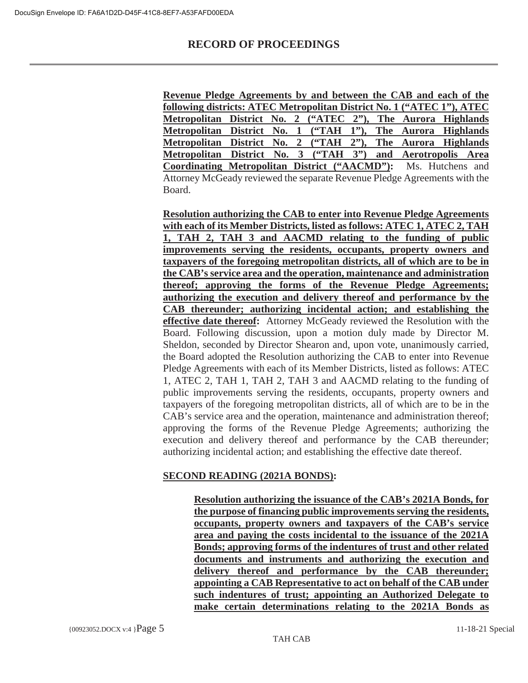**Revenue Pledge Agreements by and between the CAB and each of the following districts: ATEC Metropolitan District No. 1 ("ATEC 1"), ATEC Metropolitan District No. 2 ("ATEC 2"), The Aurora Highlands Metropolitan District No. 1 ("TAH 1"), The Aurora Highlands Metropolitan District No. 2 ("TAH 2"), The Aurora Highlands Metropolitan District No. 3 ("TAH 3") and Aerotropolis Area Coordinating Metropolitan District ("AACMD"):** Ms. Hutchens and Attorney McGeady reviewed the separate Revenue Pledge Agreements with the Board.

**Resolution authorizing the CAB to enter into Revenue Pledge Agreements with each of its Member Districts, listed as follows: ATEC 1, ATEC 2, TAH 1, TAH 2, TAH 3 and AACMD relating to the funding of public improvements serving the residents, occupants, property owners and taxpayers of the foregoing metropolitan districts, all of which are to be in the CAB's service area and the operation, maintenance and administration thereof; approving the forms of the Revenue Pledge Agreements; authorizing the execution and delivery thereof and performance by the CAB thereunder; authorizing incidental action; and establishing the effective date thereof:** Attorney McGeady reviewed the Resolution with the Board. Following discussion, upon a motion duly made by Director M. Sheldon, seconded by Director Shearon and, upon vote, unanimously carried, the Board adopted the Resolution authorizing the CAB to enter into Revenue Pledge Agreements with each of its Member Districts, listed as follows: ATEC 1, ATEC 2, TAH 1, TAH 2, TAH 3 and AACMD relating to the funding of public improvements serving the residents, occupants, property owners and taxpayers of the foregoing metropolitan districts, all of which are to be in the CAB's service area and the operation, maintenance and administration thereof; approving the forms of the Revenue Pledge Agreements; authorizing the execution and delivery thereof and performance by the CAB thereunder; authorizing incidental action; and establishing the effective date thereof.

## **SECOND READING (2021A BONDS):**

**Resolution authorizing the issuance of the CAB's 2021A Bonds, for the purpose of financing public improvements serving the residents, occupants, property owners and taxpayers of the CAB's service area and paying the costs incidental to the issuance of the 2021A Bonds; approving forms of the indentures of trust and other related documents and instruments and authorizing the execution and delivery thereof and performance by the CAB thereunder; appointing a CAB Representative to act on behalf of the CAB under such indentures of trust; appointing an Authorized Delegate to make certain determinations relating to the 2021A Bonds as**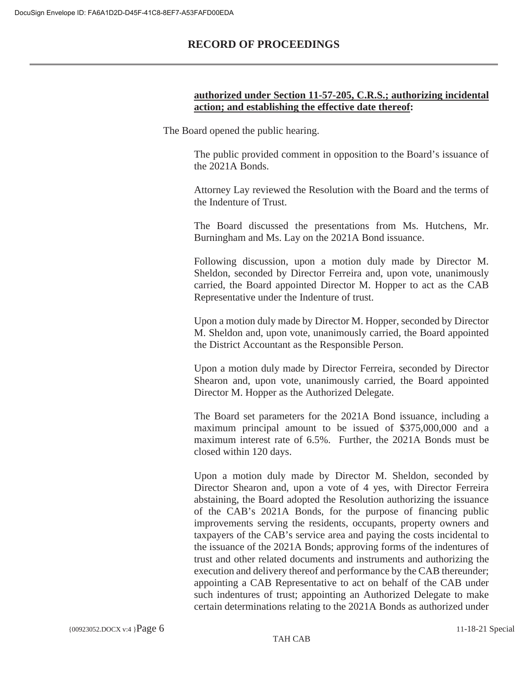### **authorized under Section 11-57-205, C.R.S.; authorizing incidental action; and establishing the effective date thereof:**

The Board opened the public hearing.

The public provided comment in opposition to the Board's issuance of the 2021A Bonds.

Attorney Lay reviewed the Resolution with the Board and the terms of the Indenture of Trust.

The Board discussed the presentations from Ms. Hutchens, Mr. Burningham and Ms. Lay on the 2021A Bond issuance.

Following discussion, upon a motion duly made by Director M. Sheldon, seconded by Director Ferreira and, upon vote, unanimously carried, the Board appointed Director M. Hopper to act as the CAB Representative under the Indenture of trust.

Upon a motion duly made by Director M. Hopper, seconded by Director M. Sheldon and, upon vote, unanimously carried, the Board appointed the District Accountant as the Responsible Person.

Upon a motion duly made by Director Ferreira, seconded by Director Shearon and, upon vote, unanimously carried, the Board appointed Director M. Hopper as the Authorized Delegate.

The Board set parameters for the 2021A Bond issuance, including a maximum principal amount to be issued of \$375,000,000 and a maximum interest rate of 6.5%. Further, the 2021A Bonds must be closed within 120 days.

Upon a motion duly made by Director M. Sheldon, seconded by Director Shearon and, upon a vote of 4 yes, with Director Ferreira abstaining, the Board adopted the Resolution authorizing the issuance of the CAB's 2021A Bonds, for the purpose of financing public improvements serving the residents, occupants, property owners and taxpayers of the CAB's service area and paying the costs incidental to the issuance of the 2021A Bonds; approving forms of the indentures of trust and other related documents and instruments and authorizing the execution and delivery thereof and performance by the CAB thereunder; appointing a CAB Representative to act on behalf of the CAB under such indentures of trust; appointing an Authorized Delegate to make certain determinations relating to the 2021A Bonds as authorized under

TAH CAB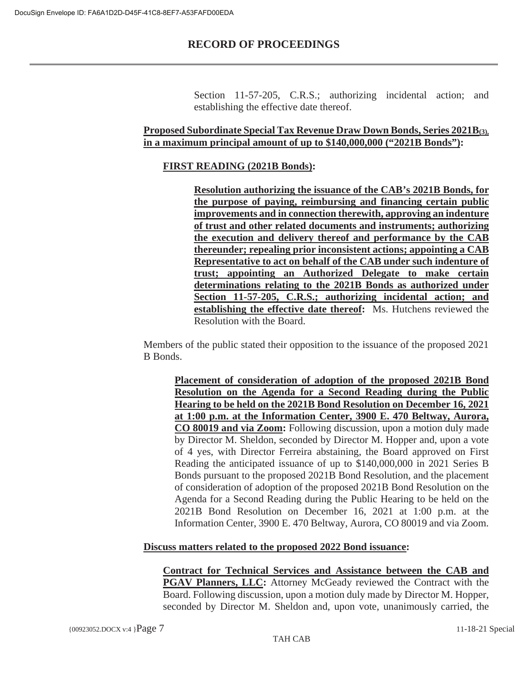Section 11-57-205, C.R.S.; authorizing incidental action; and establishing the effective date thereof.

## **Proposed Subordinate Special Tax Revenue Draw Down Bonds, Series 2021B(3), in a maximum principal amount of up to \$140,000,000 ("2021B Bonds"):**

## **FIRST READING (2021B Bonds):**

**Resolution authorizing the issuance of the CAB's 2021B Bonds, for the purpose of paying, reimbursing and financing certain public improvements and in connection therewith, approving an indenture of trust and other related documents and instruments; authorizing the execution and delivery thereof and performance by the CAB thereunder; repealing prior inconsistent actions; appointing a CAB Representative to act on behalf of the CAB under such indenture of trust; appointing an Authorized Delegate to make certain determinations relating to the 2021B Bonds as authorized under Section 11-57-205, C.R.S.; authorizing incidental action; and establishing the effective date thereof:** Ms. Hutchens reviewed the Resolution with the Board.

Members of the public stated their opposition to the issuance of the proposed 2021 B Bonds.

**Placement of consideration of adoption of the proposed 2021B Bond Resolution on the Agenda for a Second Reading during the Public Hearing to be held on the 2021B Bond Resolution on December 16, 2021 at 1:00 p.m. at the Information Center, 3900 E. 470 Beltway, Aurora, CO 80019 and via Zoom:** Following discussion, upon a motion duly made by Director M. Sheldon, seconded by Director M. Hopper and, upon a vote of 4 yes, with Director Ferreira abstaining, the Board approved on First Reading the anticipated issuance of up to \$140,000,000 in 2021 Series B Bonds pursuant to the proposed 2021B Bond Resolution, and the placement of consideration of adoption of the proposed 2021B Bond Resolution on the Agenda for a Second Reading during the Public Hearing to be held on the 2021B Bond Resolution on December 16, 2021 at 1:00 p.m. at the Information Center, 3900 E. 470 Beltway, Aurora, CO 80019 and via Zoom.

### **Discuss matters related to the proposed 2022 Bond issuance:**

**Contract for Technical Services and Assistance between the CAB and PGAV Planners, LLC:** Attorney McGeady reviewed the Contract with the Board. Following discussion, upon a motion duly made by Director M. Hopper, seconded by Director M. Sheldon and, upon vote, unanimously carried, the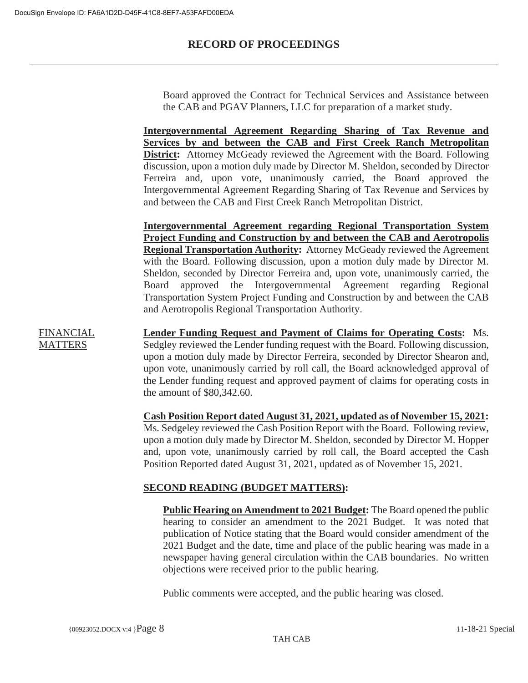Board approved the Contract for Technical Services and Assistance between the CAB and PGAV Planners, LLC for preparation of a market study.

**Intergovernmental Agreement Regarding Sharing of Tax Revenue and Services by and between the CAB and First Creek Ranch Metropolitan District:** Attorney McGeady reviewed the Agreement with the Board. Following discussion, upon a motion duly made by Director M. Sheldon, seconded by Director Ferreira and, upon vote, unanimously carried, the Board approved the Intergovernmental Agreement Regarding Sharing of Tax Revenue and Services by and between the CAB and First Creek Ranch Metropolitan District.

**Intergovernmental Agreement regarding Regional Transportation System Project Funding and Construction by and between the CAB and Aerotropolis Regional Transportation Authority:** Attorney McGeady reviewed the Agreement with the Board. Following discussion, upon a motion duly made by Director M. Sheldon, seconded by Director Ferreira and, upon vote, unanimously carried, the Board approved the Intergovernmental Agreement regarding Regional Transportation System Project Funding and Construction by and between the CAB and Aerotropolis Regional Transportation Authority.

**FINANCIAL MATTERS** 

**Lender Funding Request and Payment of Claims for Operating Costs:** Ms. Sedgley reviewed the Lender funding request with the Board. Following discussion, upon a motion duly made by Director Ferreira, seconded by Director Shearon and, upon vote, unanimously carried by roll call, the Board acknowledged approval of the Lender funding request and approved payment of claims for operating costs in the amount of \$80,342.60.

**Cash Position Report dated August 31, 2021, updated as of November 15, 2021:** Ms. Sedgeley reviewed the Cash Position Report with the Board. Following review, upon a motion duly made by Director M. Sheldon, seconded by Director M. Hopper and, upon vote, unanimously carried by roll call, the Board accepted the Cash Position Reported dated August 31, 2021, updated as of November 15, 2021.

## **SECOND READING (BUDGET MATTERS):**

**Public Hearing on Amendment to 2021 Budget:** The Board opened the public hearing to consider an amendment to the 2021 Budget. It was noted that publication of Notice stating that the Board would consider amendment of the 2021 Budget and the date, time and place of the public hearing was made in a newspaper having general circulation within the CAB boundaries. No written objections were received prior to the public hearing.

Public comments were accepted, and the public hearing was closed.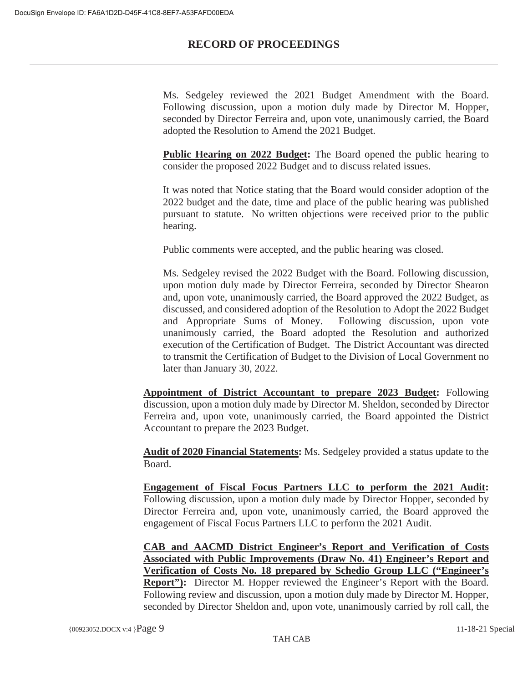Ms. Sedgeley reviewed the 2021 Budget Amendment with the Board. Following discussion, upon a motion duly made by Director M. Hopper, seconded by Director Ferreira and, upon vote, unanimously carried, the Board adopted the Resolution to Amend the 2021 Budget.

**Public Hearing on 2022 Budget:** The Board opened the public hearing to consider the proposed 2022 Budget and to discuss related issues.

It was noted that Notice stating that the Board would consider adoption of the 2022 budget and the date, time and place of the public hearing was published pursuant to statute. No written objections were received prior to the public hearing.

Public comments were accepted, and the public hearing was closed.

Ms. Sedgeley revised the 2022 Budget with the Board. Following discussion, upon motion duly made by Director Ferreira, seconded by Director Shearon and, upon vote, unanimously carried, the Board approved the 2022 Budget, as discussed, and considered adoption of the Resolution to Adopt the 2022 Budget and Appropriate Sums of Money. Following discussion, upon vote unanimously carried, the Board adopted the Resolution and authorized execution of the Certification of Budget. The District Accountant was directed to transmit the Certification of Budget to the Division of Local Government no later than January 30, 2022.

**Appointment of District Accountant to prepare 2023 Budget:** Following discussion, upon a motion duly made by Director M. Sheldon, seconded by Director Ferreira and, upon vote, unanimously carried, the Board appointed the District Accountant to prepare the 2023 Budget.

**Audit of 2020 Financial Statements:** Ms. Sedgeley provided a status update to the Board.

**Engagement of Fiscal Focus Partners LLC to perform the 2021 Audit:** Following discussion, upon a motion duly made by Director Hopper, seconded by Director Ferreira and, upon vote, unanimously carried, the Board approved the engagement of Fiscal Focus Partners LLC to perform the 2021 Audit.

**CAB and AACMD District Engineer's Report and Verification of Costs Associated with Public Improvements (Draw No. 41) Engineer's Report and Verification of Costs No. 18 prepared by Schedio Group LLC ("Engineer's Report"**): Director M. Hopper reviewed the Engineer's Report with the Board. Following review and discussion, upon a motion duly made by Director M. Hopper, seconded by Director Sheldon and, upon vote, unanimously carried by roll call, the